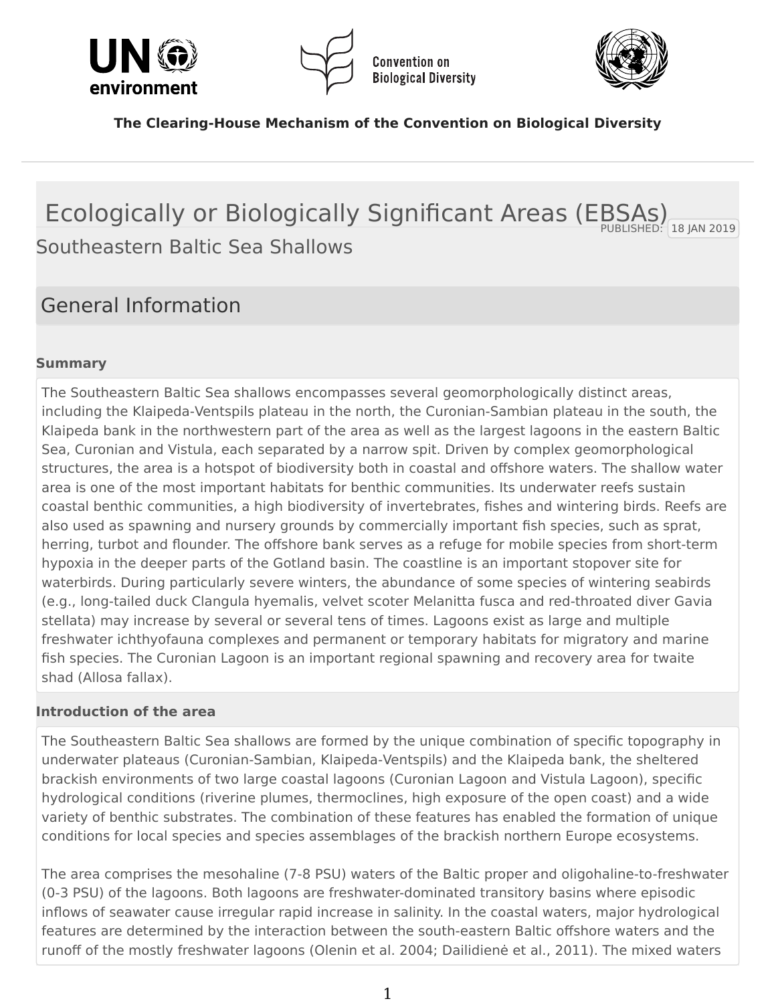<span id="page-0-0"></span>



**Convention on Biological Diversity** 



**The Clearing-House Mechanism of the Convention on Biological Diversity**

## $-18$  JAN 2019 Ecologically or Biologically Significant Areas (EBSAs) Southeastern Baltic Sea Shallows

## General Information

### **Summary**

The Southeastern Baltic Sea shallows encompasses several geomorphologically distinct areas, including the Klaipeda-Ventspils plateau in the north, the Curonian-Sambian plateau in the south, the Klaipeda bank in the northwestern part of the area as well as the largest lagoons in the eastern Baltic Sea, Curonian and Vistula, each separated by a narrow spit. Driven by complex geomorphological structures, the area is a hotspot of biodiversity both in coastal and offshore waters. The shallow water area is one of the most important habitats for benthic communities. Its underwater reefs sustain coastal benthic communities, a high biodiversity of invertebrates, fishes and wintering birds. Reefs are also used as spawning and nursery grounds by commercially important fish species, such as sprat, herring, turbot and flounder. The offshore bank serves as a refuge for mobile species from short-term hypoxia in the deeper parts of the Gotland basin. The coastline is an important stopover site for waterbirds. During particularly severe winters, the abundance of some species of wintering seabirds (e.g., long-tailed duck Clangula hyemalis, velvet scoter Melanitta fusca and red-throated diver Gavia stellata) may increase by several or several tens of times. Lagoons exist as large and multiple freshwater ichthyofauna complexes and permanent or temporary habitats for migratory and marine fish species. The Curonian Lagoon is an important regional spawning and recovery area for twaite shad (Allosa fallax).

#### **Introduction of the area**

The Southeastern Baltic Sea shallows are formed by the unique combination of specific topography in underwater plateaus (Curonian-Sambian, Klaipeda-Ventspils) and the Klaipeda bank, the sheltered brackish environments of two large coastal lagoons (Curonian Lagoon and Vistula Lagoon), specific hydrological conditions (riverine plumes, thermoclines, high exposure of the open coast) and a wide variety of benthic substrates. The combination of these features has enabled the formation of unique conditions for local species and species assemblages of the brackish northern Europe ecosystems.

The area comprises the mesohaline (7-8 PSU) waters of the Baltic proper and oligohaline-to-freshwater (0-3 PSU) of the lagoons. Both lagoons are freshwater-dominated transitory basins where episodic inflows of seawater cause irregular rapid increase in salinity. In the coastal waters, major hydrological features are determined by the interaction between the south-eastern Baltic offshore waters and the runoff of the mostly freshwater lagoons (Olenin et al. 2004; Dailidienė et al., 2011). The mixed waters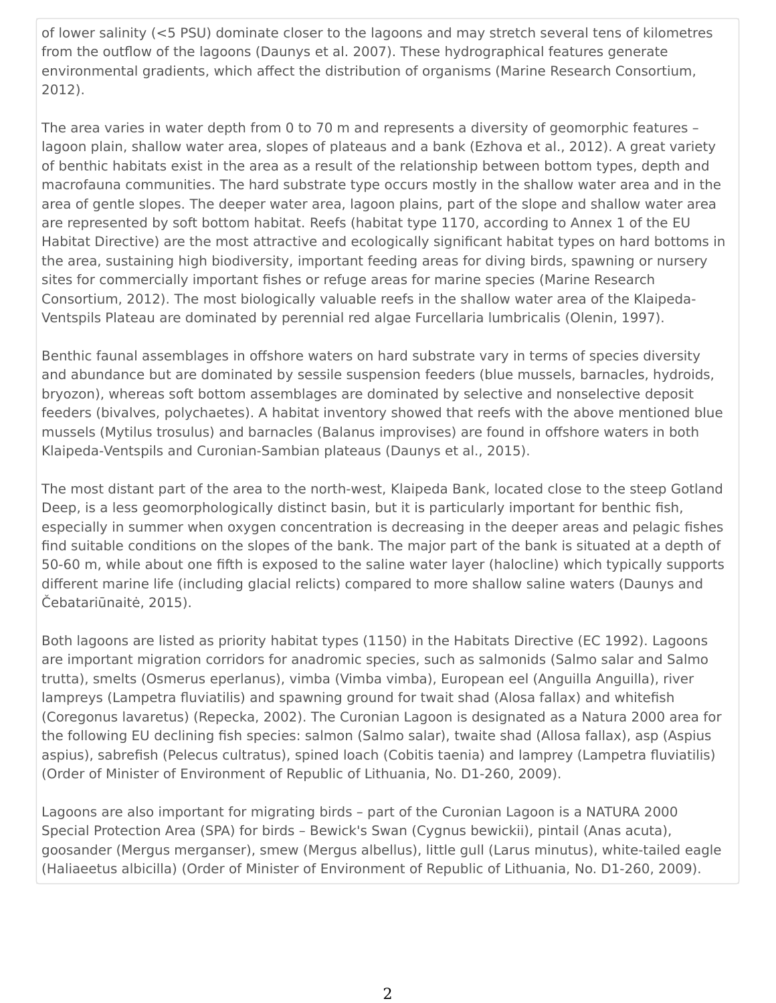of lower salinity (<5 PSU) dominate closer to the lagoons and may stretch several tens of kilometres from the outflow of the lagoons (Daunys et al. 2007). These hydrographical features generate environmental gradients, which affect the distribution of organisms (Marine Research Consortium, 2012).

The area varies in water depth from 0 to 70 m and represents a diversity of geomorphic features – lagoon plain, shallow water area, slopes of plateaus and a bank (Ezhova et al., 2012). A great variety of benthic habitats exist in the area as a result of the relationship between bottom types, depth and macrofauna communities. The hard substrate type occurs mostly in the shallow water area and in the area of gentle slopes. The deeper water area, lagoon plains, part of the slope and shallow water area are represented by soft bottom habitat. Reefs (habitat type 1170, according to Annex 1 of the EU Habitat Directive) are the most attractive and ecologically significant habitat types on hard bottoms in the area, sustaining high biodiversity, important feeding areas for diving birds, spawning or nursery sites for commercially important fishes or refuge areas for marine species (Marine Research Consortium, 2012). The most biologically valuable reefs in the shallow water area of the Klaipeda-Ventspils Plateau are dominated by perennial red algae Furcellaria lumbricalis (Olenin, 1997).

Benthic faunal assemblages in offshore waters on hard substrate vary in terms of species diversity and abundance but are dominated by sessile suspension feeders (blue mussels, barnacles, hydroids, bryozon), whereas soft bottom assemblages are dominated by selective and nonselective deposit feeders (bivalves, polychaetes). A habitat inventory showed that reefs with the above mentioned blue mussels (Mytilus trosulus) and barnacles (Balanus improvises) are found in offshore waters in both Klaipeda-Ventspils and Curonian-Sambian plateaus (Daunys et al., 2015).

The most distant part of the area to the north-west, Klaipeda Bank, located close to the steep Gotland Deep, is a less geomorphologically distinct basin, but it is particularly important for benthic fish, especially in summer when oxygen concentration is decreasing in the deeper areas and pelagic fishes find suitable conditions on the slopes of the bank. The major part of the bank is situated at a depth of 50-60 m, while about one fifth is exposed to the saline water layer (halocline) which typically supports different marine life (including glacial relicts) compared to more shallow saline waters (Daunys and Čebatariūnaitė, 2015).

Both lagoons are listed as priority habitat types (1150) in the Habitats Directive (EC 1992). Lagoons are important migration corridors for anadromic species, such as salmonids (Salmo salar and Salmo trutta), smelts (Osmerus eperlanus), vimba (Vimba vimba), European eel (Anguilla Anguilla), river lampreys (Lampetra fluviatilis) and spawning ground for twait shad (Alosa fallax) and whitefish (Coregonus lavaretus) (Repecka, 2002). The Curonian Lagoon is designated as a Natura 2000 area for the following EU declining fish species: salmon (Salmo salar), twaite shad (Allosa fallax), asp (Aspius aspius), sabrefish (Pelecus cultratus), spined loach (Cobitis taenia) and lamprey (Lampetra fluviatilis) (Order of Minister of Environment of Republic of Lithuania, No. D1-260, 2009).

Lagoons are also important for migrating birds – part of the Curonian Lagoon is a NATURA 2000 Special Protection Area (SPA) for birds – Bewick's Swan (Cygnus bewickii), pintail (Anas acuta), goosander (Mergus merganser), smew (Mergus albellus), little gull (Larus minutus), white-tailed eagle (Haliaeetus albicilla) (Order of Minister of Environment of Republic of Lithuania, No. D1-260, 2009).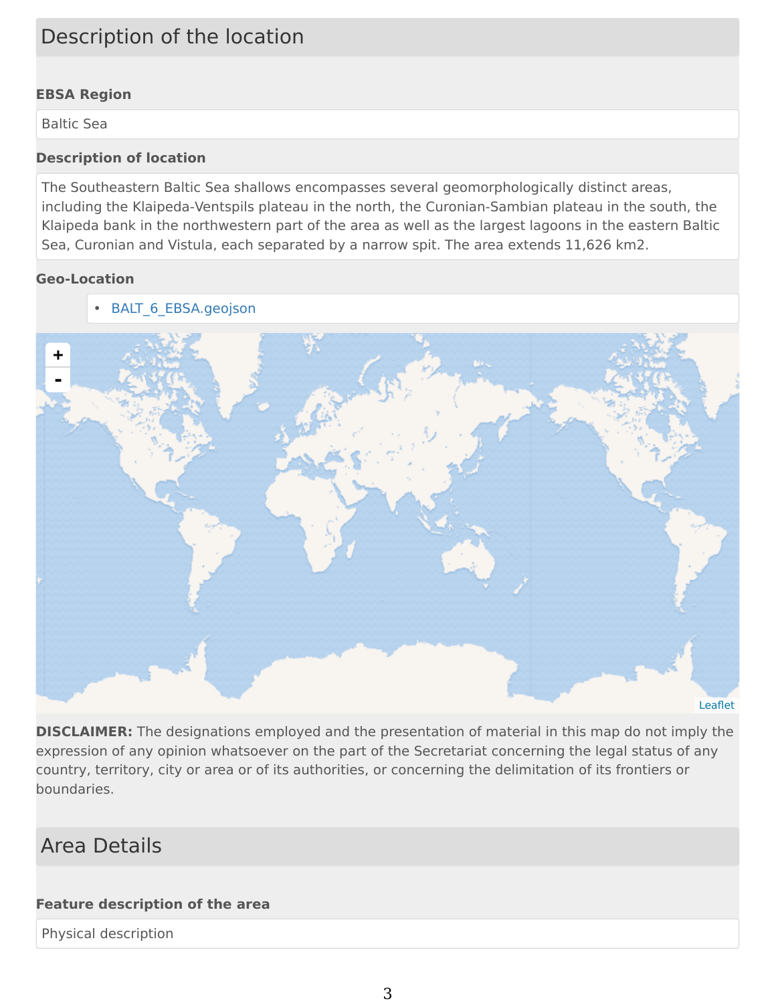# Description of the location

### **EBSA Region**

Baltic Sea

#### **Description of location**

The Southeastern Baltic Sea shallows encompasses several geomorphologically distinct areas, including the Klaipeda-Ventspils plateau in the north, the Curonian-Sambian plateau in the south, the Klaipeda bank in the northwestern part of the area as well as the largest lagoons in the eastern Baltic Sea, Curonian and Vistula, each separated by a narrow spit. The area extends 11,626 km2.

#### **Geo-Location**

• [BALT\\_6\\_EBSA.geojson](https://chm.cbd.int/en/api/v2013/documents/443C0B59-5D22-6AED-FA1C-CE1C5CCA7219/attachments/BALT_6_EBSA.geojson)



**DISCLAIMER:** The designations employed and the presentation of material in this map do not imply the expression of any opinion whatsoever on the part of the Secretariat concerning the legal status of any country, territory, city or area or of its authorities, or concerning the delimitation of its frontiers or boundaries.

## Area Details

#### **Feature description of the area**

Physical description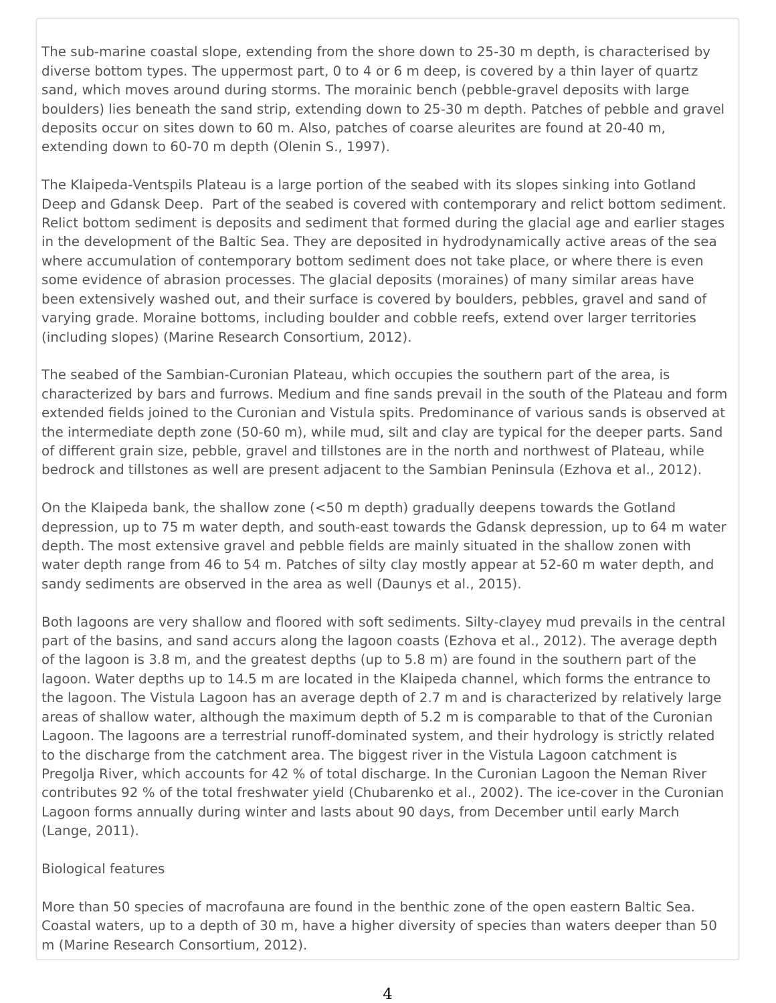The sub-marine coastal slope, extending from the shore down to 25-30 m depth, is characterised by diverse bottom types. The uppermost part, 0 to 4 or 6 m deep, is covered by a thin layer of quartz sand, which moves around during storms. The morainic bench (pebble-gravel deposits with large boulders) lies beneath the sand strip, extending down to 25-30 m depth. Patches of pebble and gravel deposits occur on sites down to 60 m. Also, patches of coarse aleurites are found at 20-40 m, extending down to 60-70 m depth (Olenin S., 1997).

The Klaipeda-Ventspils Plateau is a large portion of the seabed with its slopes sinking into Gotland Deep and Gdansk Deep. Part of the seabed is covered with contemporary and relict bottom sediment. Relict bottom sediment is deposits and sediment that formed during the glacial age and earlier stages in the development of the Baltic Sea. They are deposited in hydrodynamically active areas of the sea where accumulation of contemporary bottom sediment does not take place, or where there is even some evidence of abrasion processes. The glacial deposits (moraines) of many similar areas have been extensively washed out, and their surface is covered by boulders, pebbles, gravel and sand of varying grade. Moraine bottoms, including boulder and cobble reefs, extend over larger territories (including slopes) (Marine Research Consortium, 2012).

The seabed of the Sambian-Curonian Plateau, which occupies the southern part of the area, is characterized by bars and furrows. Medium and fine sands prevail in the south of the Plateau and form extended fields joined to the Curonian and Vistula spits. Predominance of various sands is observed at the intermediate depth zone (50-60 m), while mud, silt and clay are typical for the deeper parts. Sand of different grain size, pebble, gravel and tillstones are in the north and northwest of Plateau, while bedrock and tillstones as well are present adjacent to the Sambian Peninsula (Ezhova et al., 2012).

On the Klaipeda bank, the shallow zone (<50 m depth) gradually deepens towards the Gotland depression, up to 75 m water depth, and south-east towards the Gdansk depression, up to 64 m water depth. The most extensive gravel and pebble fields are mainly situated in the shallow zonen with water depth range from 46 to 54 m. Patches of silty clay mostly appear at 52-60 m water depth, and sandy sediments are observed in the area as well (Daunys et al., 2015).

Both lagoons are very shallow and floored with soft sediments. Silty-clayey mud prevails in the central part of the basins, and sand accurs along the lagoon coasts (Ezhova et al., 2012). The average depth of the lagoon is 3.8 m, and the greatest depths (up to 5.8 m) are found in the southern part of the lagoon. Water depths up to 14.5 m are located in the Klaipeda channel, which forms the entrance to the lagoon. The Vistula Lagoon has an average depth of 2.7 m and is characterized by relatively large areas of shallow water, although the maximum depth of 5.2 m is comparable to that of the Curonian Lagoon. The lagoons are a terrestrial runoff-dominated system, and their hydrology is strictly related to the discharge from the catchment area. The biggest river in the Vistula Lagoon catchment is Pregolja River, which accounts for 42 % of total discharge. In the Curonian Lagoon the Neman River contributes 92 % of the total freshwater yield (Chubarenko et al., 2002). The ice-cover in the Curonian Lagoon forms annually during winter and lasts about 90 days, from December until early March (Lange, 2011).

#### Biological features

More than 50 species of macrofauna are found in the benthic zone of the open eastern Baltic Sea. Coastal waters, up to a depth of 30 m, have a higher diversity of species than waters deeper than 50 m (Marine Research Consortium, 2012).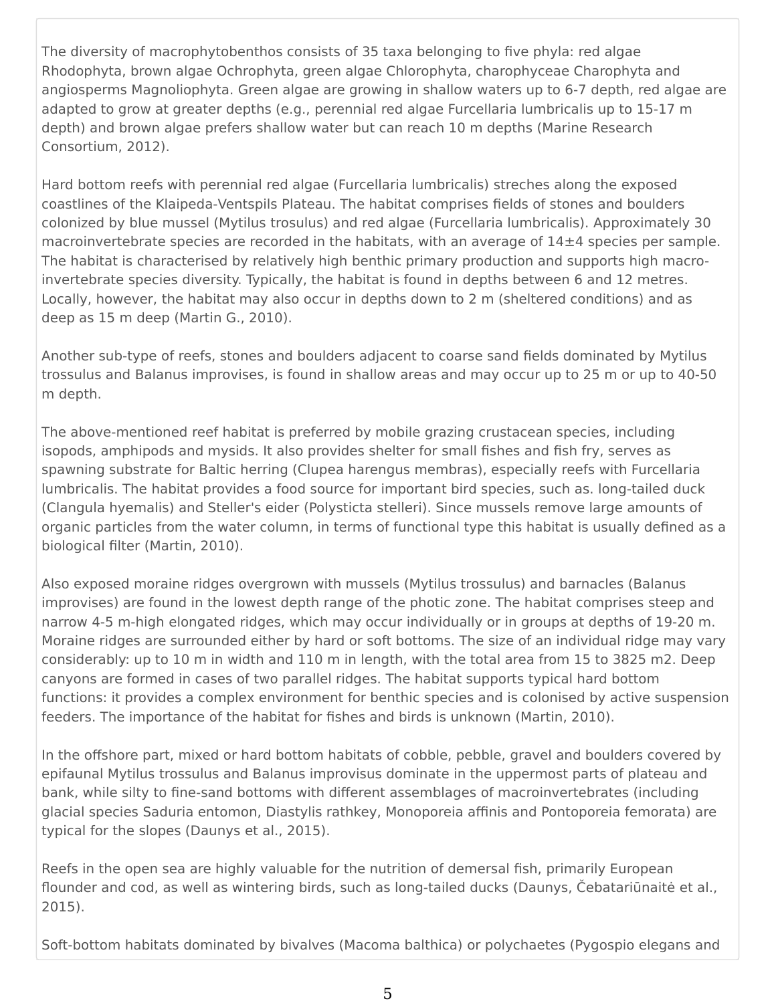The diversity of macrophytobenthos consists of 35 taxa belonging to five phyla: red algae Rhodophyta, brown algae Ochrophyta, green algae Chlorophyta, charophyceae Charophyta and angiosperms Magnoliophyta. Green algae are growing in shallow waters up to 6-7 depth, red algae are adapted to grow at greater depths (e.g., perennial red algae Furcellaria lumbricalis up to 15-17 m depth) and brown algae prefers shallow water but can reach 10 m depths (Marine Research Consortium, 2012).

Hard bottom reefs with perennial red algae (Furcellaria lumbricalis) streches along the exposed coastlines of the Klaipeda-Ventspils Plateau. The habitat comprises fields of stones and boulders colonized by blue mussel (Mytilus trosulus) and red algae (Furcellaria lumbricalis). Approximately 30 macroinvertebrate species are recorded in the habitats, with an average of 14±4 species per sample. The habitat is characterised by relatively high benthic primary production and supports high macroinvertebrate species diversity. Typically, the habitat is found in depths between 6 and 12 metres. Locally, however, the habitat may also occur in depths down to 2 m (sheltered conditions) and as deep as 15 m deep (Martin G., 2010).

Another sub-type of reefs, stones and boulders adjacent to coarse sand fields dominated by Mytilus trossulus and Balanus improvises, is found in shallow areas and may occur up to 25 m or up to 40-50 m depth.

The above-mentioned reef habitat is preferred by mobile grazing crustacean species, including isopods, amphipods and mysids. It also provides shelter for small fishes and fish fry, serves as spawning substrate for Baltic herring (Clupea harengus membras), especially reefs with Furcellaria lumbricalis. The habitat provides a food source for important bird species, such as. long-tailed duck (Clangula hyemalis) and Steller's eider (Polysticta stelleri). Since mussels remove large amounts of organic particles from the water column, in terms of functional type this habitat is usually defined as a biological filter (Martin, 2010).

Also exposed moraine ridges overgrown with mussels (Mytilus trossulus) and barnacles (Balanus improvises) are found in the lowest depth range of the photic zone. The habitat comprises steep and narrow 4-5 m-high elongated ridges, which may occur individually or in groups at depths of 19-20 m. Moraine ridges are surrounded either by hard or soft bottoms. The size of an individual ridge may vary considerably: up to 10 m in width and 110 m in length, with the total area from 15 to 3825 m2. Deep canyons are formed in cases of two parallel ridges. The habitat supports typical hard bottom functions: it provides a complex environment for benthic species and is colonised by active suspension feeders. The importance of the habitat for fishes and birds is unknown (Martin, 2010).

In the offshore part, mixed or hard bottom habitats of cobble, pebble, gravel and boulders covered by epifaunal Mytilus trossulus and Balanus improvisus dominate in the uppermost parts of plateau and bank, while silty to fine-sand bottoms with different assemblages of macroinvertebrates (including glacial species Saduria entomon, Diastylis rathkey, Monoporeia affinis and Pontoporeia femorata) are typical for the slopes (Daunys et al., 2015).

Reefs in the open sea are highly valuable for the nutrition of demersal fish, primarily European flounder and cod, as well as wintering birds, such as long-tailed ducks (Daunys, Čebatariūnaitė et al., 2015).

Soft-bottom habitats dominated by bivalves (Macoma balthica) or polychaetes (Pygospio elegans and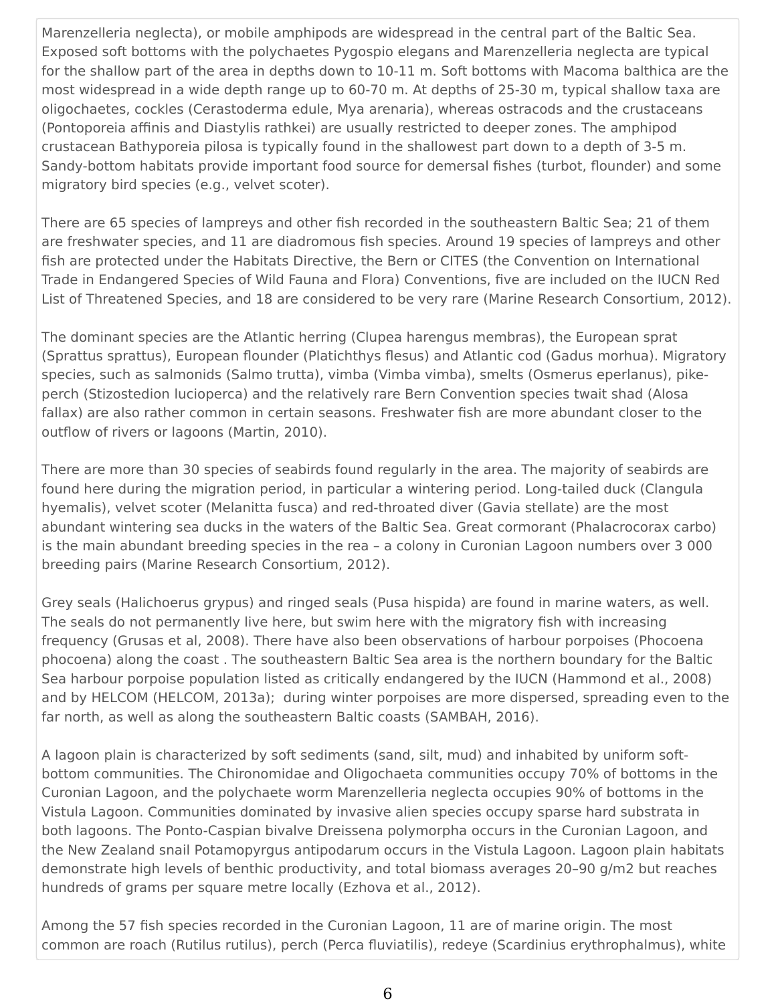Marenzelleria neglecta), or mobile amphipods are widespread in the central part of the Baltic Sea. Exposed soft bottoms with the polychaetes Pygospio elegans and Marenzelleria neglecta are typical for the shallow part of the area in depths down to 10-11 m. Soft bottoms with Macoma balthica are the most widespread in a wide depth range up to 60-70 m. At depths of 25-30 m, typical shallow taxa are oligochaetes, cockles (Cerastoderma edule, Mya arenaria), whereas ostracods and the crustaceans (Pontoporeia affinis and Diastylis rathkei) are usually restricted to deeper zones. The amphipod crustacean Bathyporeia pilosa is typically found in the shallowest part down to a depth of 3-5 m. Sandy-bottom habitats provide important food source for demersal fishes (turbot, flounder) and some migratory bird species (e.g., velvet scoter).

There are 65 species of lampreys and other fish recorded in the southeastern Baltic Sea; 21 of them are freshwater species, and 11 are diadromous fish species. Around 19 species of lampreys and other fish are protected under the Habitats Directive, the Bern or CITES (the Convention on International Trade in Endangered Species of Wild Fauna and Flora) Conventions, five are included on the IUCN Red List of Threatened Species, and 18 are considered to be very rare (Marine Research Consortium, 2012).

The dominant species are the Atlantic herring (Clupea harengus membras), the European sprat (Sprattus sprattus), European flounder (Platichthys flesus) and Atlantic cod (Gadus morhua). Migratory species, such as salmonids (Salmo trutta), vimba (Vimba vimba), smelts (Osmerus eperlanus), pikeperch (Stizostedion lucioperca) and the relatively rare Bern Convention species twait shad (Alosa fallax) are also rather common in certain seasons. Freshwater fish are more abundant closer to the outflow of rivers or lagoons (Martin, 2010).

There are more than 30 species of seabirds found regularly in the area. The majority of seabirds are found here during the migration period, in particular a wintering period. Long-tailed duck (Clangula hyemalis), velvet scoter (Melanitta fusca) and red-throated diver (Gavia stellate) are the most abundant wintering sea ducks in the waters of the Baltic Sea. Great cormorant (Phalacrocorax carbo) is the main abundant breeding species in the rea – a colony in Curonian Lagoon numbers over 3 000 breeding pairs (Marine Research Consortium, 2012).

Grey seals (Halichoerus grypus) and ringed seals (Pusa hispida) are found in marine waters, as well. The seals do not permanently live here, but swim here with the migratory fish with increasing frequency (Grusas et al, 2008). There have also been observations of harbour porpoises (Phocoena phocoena) along the coast . The southeastern Baltic Sea area is the northern boundary for the Baltic Sea harbour porpoise population listed as critically endangered by the IUCN (Hammond et al., 2008) and by HELCOM (HELCOM, 2013a); during winter porpoises are more dispersed, spreading even to the far north, as well as along the southeastern Baltic coasts (SAMBAH, 2016).

A lagoon plain is characterized by soft sediments (sand, silt, mud) and inhabited by uniform softbottom communities. The Chironomidae and Oligochaeta communities occupy 70% of bottoms in the Curonian Lagoon, and the polychaete worm Marenzelleria neglecta occupies 90% of bottoms in the Vistula Lagoon. Communities dominated by invasive alien species occupy sparse hard substrata in both lagoons. The Ponto-Caspian bivalve Dreissena polymorpha occurs in the Curonian Lagoon, and the New Zealand snail Potamopyrgus antipodarum occurs in the Vistula Lagoon. Lagoon plain habitats demonstrate high levels of benthic productivity, and total biomass averages 20–90 g/m2 but reaches hundreds of grams per square metre locally (Ezhova et al., 2012).

Among the 57 fish species recorded in the Curonian Lagoon, 11 are of marine origin. The most common are roach (Rutilus rutilus), perch (Perca fluviatilis), redeye (Scardinius erythrophalmus), white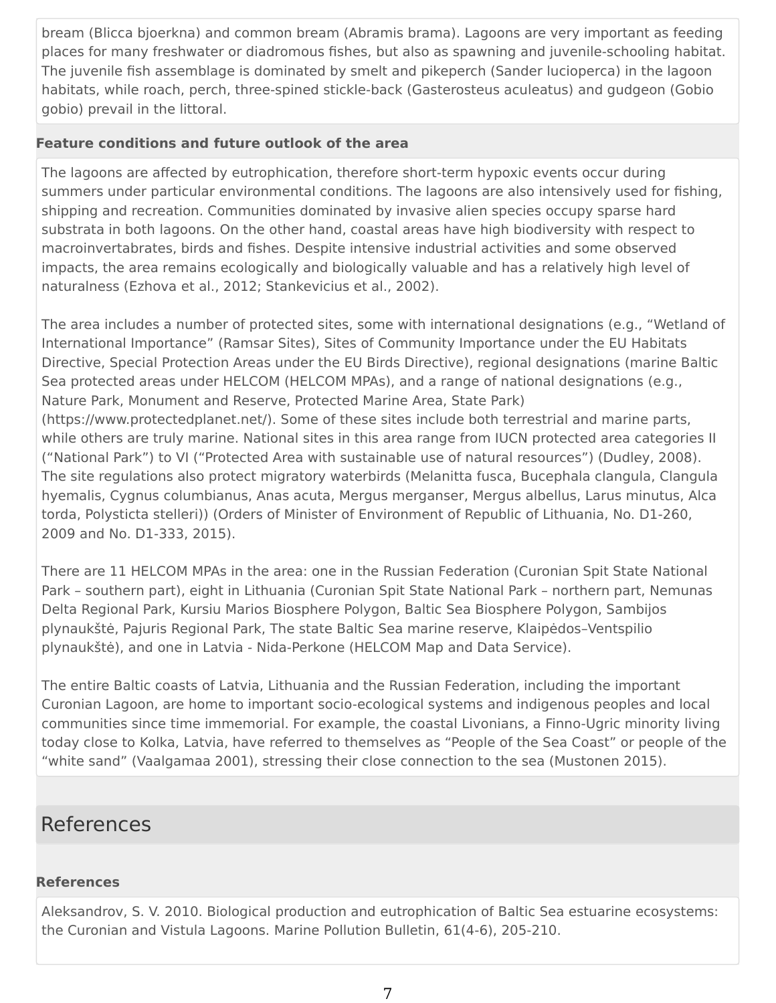bream (Blicca bjoerkna) and common bream (Abramis brama). Lagoons are very important as feeding places for many freshwater or diadromous fishes, but also as spawning and juvenile-schooling habitat. The juvenile fish assemblage is dominated by smelt and pikeperch (Sander lucioperca) in the lagoon habitats, while roach, perch, three-spined stickle-back (Gasterosteus aculeatus) and gudgeon (Gobio gobio) prevail in the littoral.

#### **Feature conditions and future outlook of the area**

The lagoons are affected by eutrophication, therefore short-term hypoxic events occur during summers under particular environmental conditions. The lagoons are also intensively used for fishing, shipping and recreation. Communities dominated by invasive alien species occupy sparse hard substrata in both lagoons. On the other hand, coastal areas have high biodiversity with respect to macroinvertabrates, birds and fishes. Despite intensive industrial activities and some observed impacts, the area remains ecologically and biologically valuable and has a relatively high level of naturalness (Ezhova et al., 2012; Stankevicius et al., 2002).

The area includes a number of protected sites, some with international designations (e.g., "Wetland of International Importance" (Ramsar Sites), Sites of Community Importance under the EU Habitats Directive, Special Protection Areas under the EU Birds Directive), regional designations (marine Baltic Sea protected areas under HELCOM (HELCOM MPAs), and a range of national designations (e.g., Nature Park, Monument and Reserve, Protected Marine Area, State Park) (https://www.protectedplanet.net/). Some of these sites include both terrestrial and marine parts, while others are truly marine. National sites in this area range from IUCN protected area categories II ("National Park") to VI ("Protected Area with sustainable use of natural resources") (Dudley, 2008). The site regulations also protect migratory waterbirds (Melanitta fusca, Bucephala clangula, Clangula hyemalis, Cygnus columbianus, Anas acuta, Mergus merganser, Mergus albellus, Larus minutus, Alca torda, Polysticta stelleri)) (Orders of Minister of Environment of Republic of Lithuania, No. D1-260, 2009 and No. D1-333, 2015).

There are 11 HELCOM MPAs in the area: one in the Russian Federation (Curonian Spit State National Park – southern part), eight in Lithuania (Curonian Spit State National Park – northern part, Nemunas Delta Regional Park, Kursiu Marios Biosphere Polygon, Baltic Sea Biosphere Polygon, Sambijos plynaukštė, Pajuris Regional Park, The state Baltic Sea marine reserve, Klaipėdos–Ventspilio plynaukštė), and one in Latvia - Nida-Perkone (HELCOM Map and Data Service).

The entire Baltic coasts of Latvia, Lithuania and the Russian Federation, including the important Curonian Lagoon, are home to important socio-ecological systems and indigenous peoples and local communities since time immemorial. For example, the coastal Livonians, a Finno-Ugric minority living today close to Kolka, Latvia, have referred to themselves as "People of the Sea Coast" or people of the "white sand" (Vaalgamaa 2001), stressing their close connection to the sea (Mustonen 2015).

## References

#### **References**

Aleksandrov, S. V. 2010. Biological production and eutrophication of Baltic Sea estuarine ecosystems: the Curonian and Vistula Lagoons. Marine Pollution Bulletin, 61(4-6), 205-210.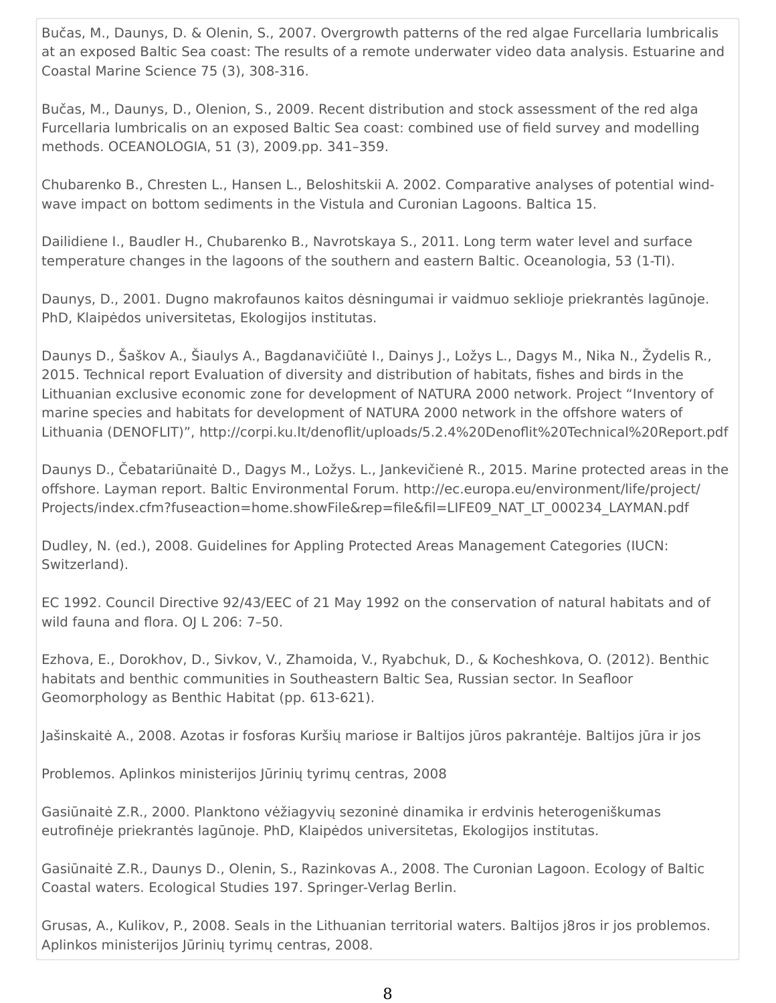Bučas, M., Daunys, D. & Olenin, S., 2007. Overgrowth patterns of the red algae Furcellaria lumbricalis at an exposed Baltic Sea coast: The results of a remote underwater video data analysis. Estuarine and Coastal Marine Science 75 (3), 308-316.

Bučas, M., Daunys, D., Olenion, S., 2009. Recent distribution and stock assessment of the red alga Furcellaria lumbricalis on an exposed Baltic Sea coast: combined use of field survey and modelling methods. OCEANOLOGIA, 51 (3), 2009.pp. 341–359.

Chubarenko B., Chresten L., Hansen L., Beloshitskii A. 2002. Comparative analyses of potential windwave impact on bottom sediments in the Vistula and Curonian Lagoons. Baltica 15.

Dailidiene I., Baudler H., Chubarenko B., Navrotskaya S., 2011. Long term water level and surface temperature changes in the lagoons of the southern and eastern Baltic. Oceanologia, 53 (1-TI).

Daunys, D., 2001. Dugno makrofaunos kaitos dėsningumai ir vaidmuo seklioje priekrantės lagūnoje. PhD, Klaipėdos universitetas, Ekologijos institutas.

Daunys D., Šaškov A., Šiaulys A., Bagdanavičiūtė I., Dainys J., Ložys L., Dagys M., Nika N., Žydelis R., 2015. Technical report Evaluation of diversity and distribution of habitats, fishes and birds in the Lithuanian exclusive economic zone for development of NATURA 2000 network. Project "Inventory of marine species and habitats for development of NATURA 2000 network in the offshore waters of Lithuania (DENOFLIT)", http://corpi.ku.lt/denoflit/uploads/5.2.4%20Denoflit%20Technical%20Report.pdf

Daunys D., Čebatariūnaitė D., Dagys M., Ložys. L., Jankevičienė R., 2015. Marine protected areas in the offshore. Layman report. Baltic Environmental Forum. http://ec.europa.eu/environment/life/project/ Projects/index.cfm?fuseaction=home.showFile&rep=file&fil=LIFE09\_NAT\_LT\_000234\_LAYMAN.pdf

Dudley, N. (ed.), 2008. Guidelines for Appling Protected Areas Management Categories (IUCN: Switzerland).

EC 1992. Council Directive 92/43/EEC of 21 May 1992 on the conservation of natural habitats and of wild fauna and flora. OJ L 206: 7–50.

Ezhova, E., Dorokhov, D., Sivkov, V., Zhamoida, V., Ryabchuk, D., & Kocheshkova, O. (2012). Benthic habitats and benthic communities in Southeastern Baltic Sea, Russian sector. In Seafloor Geomorphology as Benthic Habitat (pp. 613-621).

Jašinskaitė A., 2008. Azotas ir fosforas Kuršių mariose ir Baltijos jūros pakrantėje. Baltijos jūra ir jos

Problemos. Aplinkos ministerijos Jūrinių tyrimų centras, 2008

Gasiūnaitė Z.R., 2000. Planktono vėžiagyvių sezoninė dinamika ir erdvinis heterogeniškumas eutrofinėje priekrantės lagūnoje. PhD, Klaipėdos universitetas, Ekologijos institutas.

Gasiūnaitė Z.R., Daunys D., Olenin, S., Razinkovas A., 2008. The Curonian Lagoon. Ecology of Baltic Coastal waters. Ecological Studies 197. Springer-Verlag Berlin.

Grusas, A., Kulikov, P., 2008. Seals in the Lithuanian territorial waters. Baltijos j8ros ir jos problemos. Aplinkos ministerijos Jūrinių tyrimų centras, 2008.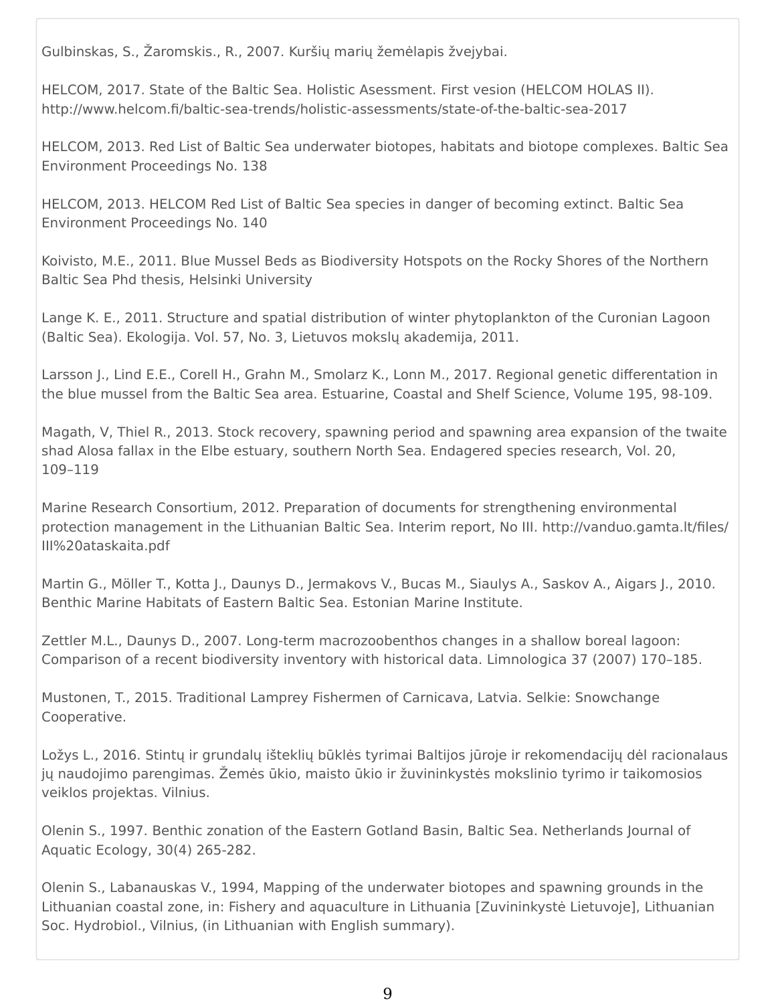Gulbinskas, S., Žaromskis., R., 2007. Kuršių marių žemėlapis žvejybai.

HELCOM, 2017. State of the Baltic Sea. Holistic Asessment. First vesion (HELCOM HOLAS II). http://www.helcom.fi/baltic-sea-trends/holistic-assessments/state-of-the-baltic-sea-2017

HELCOM, 2013. Red List of Baltic Sea underwater biotopes, habitats and biotope complexes. Baltic Sea Environment Proceedings No. 138

HELCOM, 2013. HELCOM Red List of Baltic Sea species in danger of becoming extinct. Baltic Sea Environment Proceedings No. 140

Koivisto, M.E., 2011. Blue Mussel Beds as Biodiversity Hotspots on the Rocky Shores of the Northern Baltic Sea Phd thesis, Helsinki University

Lange K. E., 2011. Structure and spatial distribution of winter phytoplankton of the Curonian Lagoon (Baltic Sea). Ekologija. Vol. 57, No. 3, Lietuvos mokslų akademija, 2011.

Larsson J., Lind E.E., Corell H., Grahn M., Smolarz K., Lonn M., 2017. Regional genetic differentation in the blue mussel from the Baltic Sea area. Estuarine, Coastal and Shelf Science, Volume 195, 98-109.

Magath, V, Thiel R., 2013. Stock recovery, spawning period and spawning area expansion of the twaite shad Alosa fallax in the Elbe estuary, southern North Sea. Endagered species research, Vol. 20, 109–119

Marine Research Consortium, 2012. Preparation of documents for strengthening environmental protection management in the Lithuanian Baltic Sea. Interim report, No III. http://vanduo.gamta.lt/files/ III%20ataskaita.pdf

Martin G., Möller T., Kotta J., Daunys D., Jermakovs V., Bucas M., Siaulys A., Saskov A., Aigars J., 2010. Benthic Marine Habitats of Eastern Baltic Sea. Estonian Marine Institute.

Zettler M.L., Daunys D., 2007. Long-term macrozoobenthos changes in a shallow boreal lagoon: Comparison of a recent biodiversity inventory with historical data. Limnologica 37 (2007) 170–185.

Mustonen, T., 2015. Traditional Lamprey Fishermen of Carnicava, Latvia. Selkie: Snowchange Cooperative.

Ložys L., 2016. Stintų ir grundalų išteklių būklės tyrimai Baltijos jūroje ir rekomendacijų dėl racionalaus jų naudojimo parengimas. Žemės ūkio, maisto ūkio ir žuvininkystės mokslinio tyrimo ir taikomosios veiklos projektas. Vilnius.

Olenin S., 1997. Benthic zonation of the Eastern Gotland Basin, Baltic Sea. Netherlands Journal of Aquatic Ecology, 30(4) 265-282.

Olenin S., Labanauskas V., 1994, Mapping of the underwater biotopes and spawning grounds in the Lithuanian coastal zone, in: Fishery and aquaculture in Lithuania [Zuvininkystė Lietuvoje], Lithuanian Soc. Hydrobiol., Vilnius, (in Lithuanian with English summary).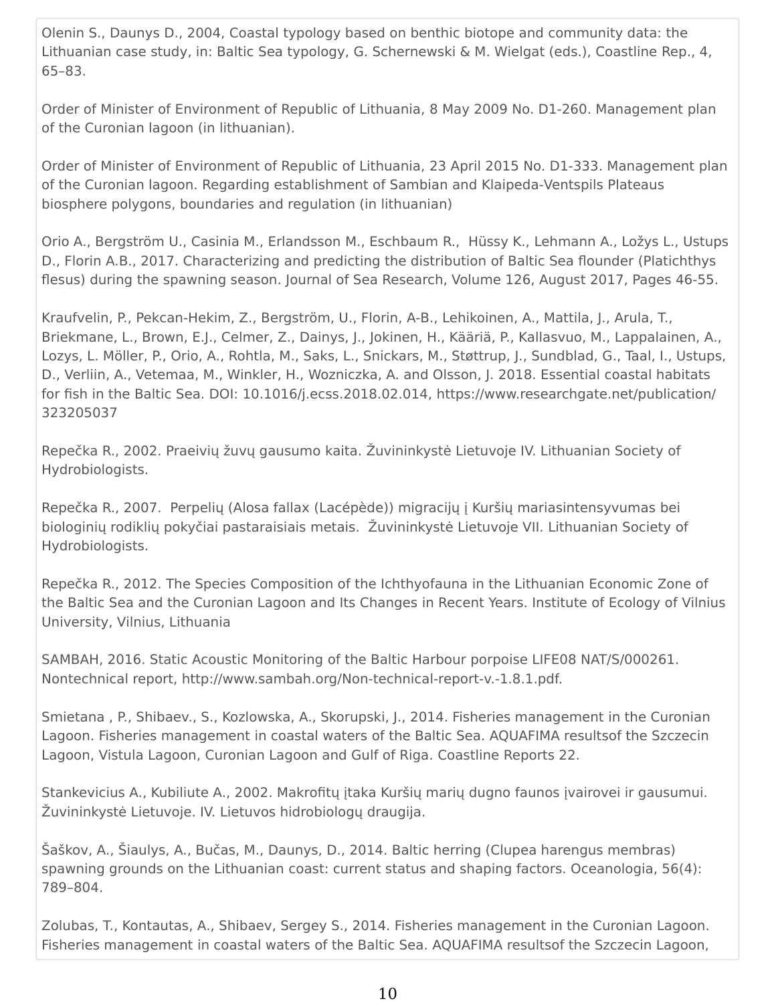Olenin S., Daunys D., 2004, Coastal typology based on benthic biotope and community data: the Lithuanian case study, in: Baltic Sea typology, G. Schernewski & M. Wielgat (eds.), Coastline Rep., 4, 65–83.

Order of Minister of Environment of Republic of Lithuania, 8 May 2009 No. D1-260. Management plan of the Curonian lagoon (in lithuanian).

Order of Minister of Environment of Republic of Lithuania, 23 April 2015 No. D1-333. Management plan of the Curonian lagoon. Regarding establishment of Sambian and Klaipeda-Ventspils Plateaus biosphere polygons, boundaries and regulation (in lithuanian)

Orio A., Bergström U., Casinia M., Erlandsson M., Eschbaum R., Hüssy K., Lehmann A., Ložys L., Ustups D., Florin A.B., 2017. Characterizing and predicting the distribution of Baltic Sea flounder (Platichthys flesus) during the spawning season. Journal of Sea Research, Volume 126, August 2017, Pages 46-55.

Kraufvelin, P., Pekcan-Hekim, Z., Bergström, U., Florin, A-B., Lehikoinen, A., Mattila, J., Arula, T., Briekmane, L., Brown, E.J., Celmer, Z., Dainys, J., Jokinen, H., Kääriä, P., Kallasvuo, M., Lappalainen, A., Lozys, L. Möller, P., Orio, A., Rohtla, M., Saks, L., Snickars, M., Støttrup, J., Sundblad, G., Taal, I., Ustups, D., Verliin, A., Vetemaa, M., Winkler, H., Wozniczka, A. and Olsson, J. 2018. Essential coastal habitats for fish in the Baltic Sea. DOI: 10.1016/j.ecss.2018.02.014, https://www.researchgate.net/publication/ 323205037

Repečka R., 2002. Praeivių žuvų gausumo kaita. Žuvininkystė Lietuvoje IV. Lithuanian Society of Hydrobiologists.

Repečka R., 2007. Perpelių (Alosa fallax (Lacépède)) migracijų į Kuršių mariasintensyvumas bei biologinių rodiklių pokyčiai pastaraisiais metais. Žuvininkystė Lietuvoje VII. Lithuanian Society of Hydrobiologists.

Repečka R., 2012. The Species Composition of the Ichthyofauna in the Lithuanian Economic Zone of the Baltic Sea and the Curonian Lagoon and Its Changes in Recent Years. Institute of Ecology of Vilnius University, Vilnius, Lithuania

SAMBAH, 2016. Static Acoustic Monitoring of the Baltic Harbour porpoise LIFE08 NAT/S/000261. Nontechnical report, http://www.sambah.org/Non-technical-report-v.-1.8.1.pdf.

Smietana , P., Shibaev., S., Kozlowska, A., Skorupski, J., 2014. Fisheries management in the Curonian Lagoon. Fisheries management in coastal waters of the Baltic Sea. AQUAFIMA resultsof the Szczecin Lagoon, Vistula Lagoon, Curonian Lagoon and Gulf of Riga. Coastline Reports 22.

Stankevicius A., Kubiliute A., 2002. Makrofitų įtaka Kuršių marių dugno faunos įvairovei ir gausumui. Žuvininkystė Lietuvoje. IV. Lietuvos hidrobiologų draugija.

Šaškov, A., Šiaulys, A., Bučas, M., Daunys, D., 2014. Baltic herring (Clupea harengus membras) spawning grounds on the Lithuanian coast: current status and shaping factors. Oceanologia, 56(4): 789–804.

Zolubas, T., Kontautas, A., Shibaev, Sergey S., 2014. Fisheries management in the Curonian Lagoon. Fisheries management in coastal waters of the Baltic Sea. AQUAFIMA resultsof the Szczecin Lagoon,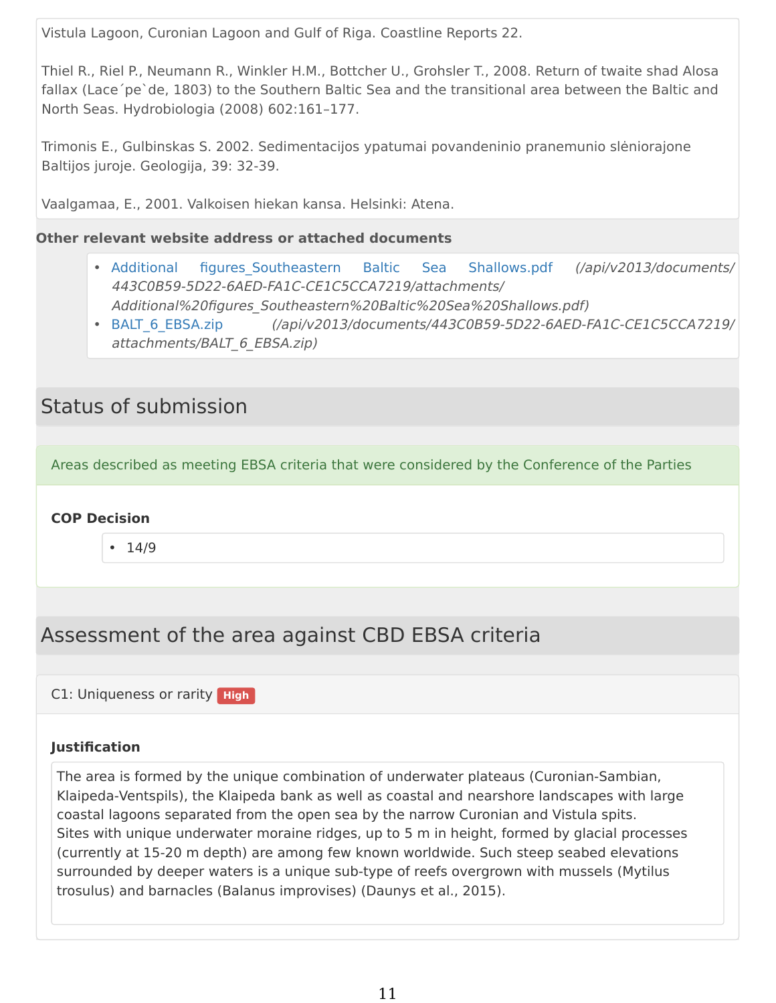Vistula Lagoon, Curonian Lagoon and Gulf of Riga. Coastline Reports 22.

Thiel R., Riel P., Neumann R., Winkler H.M., Bottcher U., Grohsler T., 2008. Return of twaite shad Alosa fallax (Lace´pe`de, 1803) to the Southern Baltic Sea and the transitional area between the Baltic and North Seas. Hydrobiologia (2008) 602:161–177.

Trimonis E., Gulbinskas S. 2002. Sedimentacijos ypatumai povandeninio pranemunio slėniorajone Baltijos juroje. Geologija, 39: 32-39.

Vaalgamaa, E., 2001. Valkoisen hiekan kansa. Helsinki: Atena.

### **Other relevant website address or attached documents**

- Additional figures Southeastern Baltic Sea Shallows.pdf (/api/v2013/documents/ 443C0B59-5D22-6AED-FA1C-CE1C5CCA7219/attachments/ Additional%20figures\_Southeastern%20Baltic%20Sea%20Shallows.pdf)
- [BALT\\_6\\_EBSA.zip](https://chm.cbd.int/en/api/v2013/documents/443C0B59-5D22-6AED-FA1C-CE1C5CCA7219/attachments/BALT_6_EBSA.zip) (/api/v2013/documents/443C0B59-5D22-6AED-FA1C-CE1C5CCA7219/ attachments/BALT\_6\_EBSA.zip)

# Status of submission

Areas described as meeting EBSA criteria that were considered by the Conference of the Parties

## **COP Decision**

• 14/9

# Assessment of the area against CBD EBSA criteria

C1: Uniqueness or rarity **High**

#### **Justification**

The area is formed by the unique combination of underwater plateaus (Curonian-Sambian, Klaipeda-Ventspils), the Klaipeda bank as well as coastal and nearshore landscapes with large coastal lagoons separated from the open sea by the narrow Curonian and Vistula spits. Sites with unique underwater moraine ridges, up to 5 m in height, formed by glacial processes (currently at 15-20 m depth) are among few known worldwide. Such steep seabed elevations surrounded by deeper waters is a unique sub-type of reefs overgrown with mussels (Mytilus trosulus) and barnacles (Balanus improvises) (Daunys et al., 2015).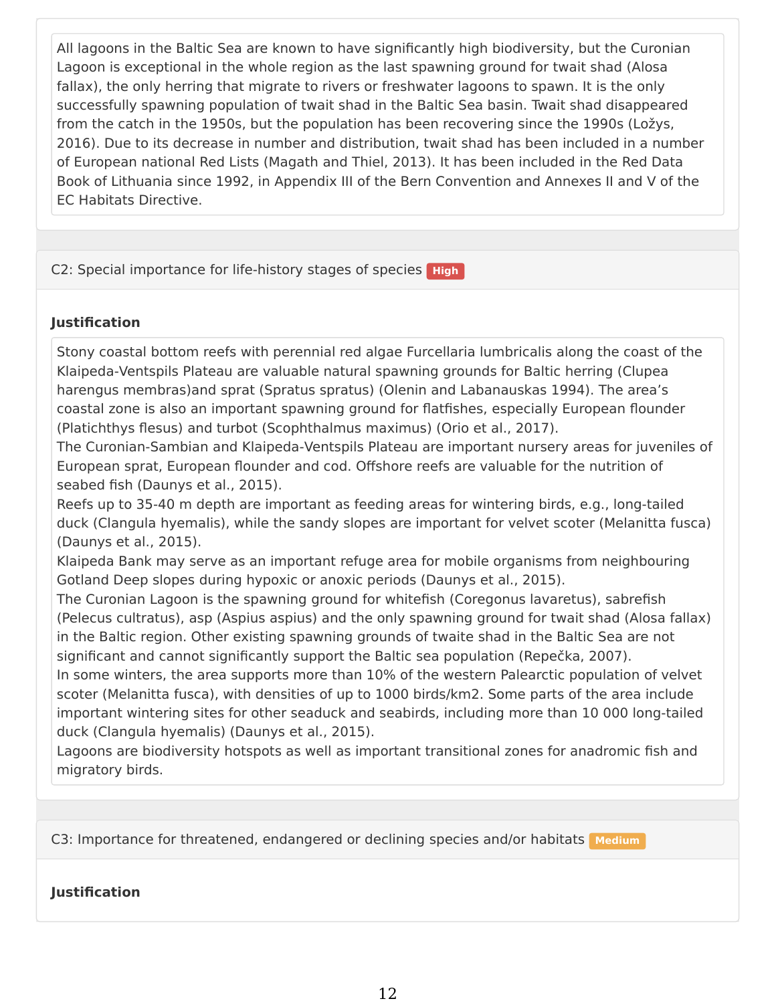All lagoons in the Baltic Sea are known to have significantly high biodiversity, but the Curonian Lagoon is exceptional in the whole region as the last spawning ground for twait shad (Alosa fallax), the only herring that migrate to rivers or freshwater lagoons to spawn. It is the only successfully spawning population of twait shad in the Baltic Sea basin. Twait shad disappeared from the catch in the 1950s, but the population has been recovering since the 1990s (Ložys, 2016). Due to its decrease in number and distribution, twait shad has been included in a number of European national Red Lists (Magath and Thiel, 2013). It has been included in the Red Data Book of Lithuania since 1992, in Appendix III of the Bern Convention and Annexes II and V of the EC Habitats Directive.

C2: Special importance for life-history stages of species **High** 

## **Justification**

Stony coastal bottom reefs with perennial red algae Furcellaria lumbricalis along the coast of the Klaipeda-Ventspils Plateau are valuable natural spawning grounds for Baltic herring (Clupea harengus membras)and sprat (Spratus spratus) (Olenin and Labanauskas 1994). The area's coastal zone is also an important spawning ground for flatfishes, especially European flounder (Platichthys flesus) and turbot (Scophthalmus maximus) (Orio et al., 2017).

The Curonian-Sambian and Klaipeda-Ventspils Plateau are important nursery areas for juveniles of European sprat, European flounder and cod. Offshore reefs are valuable for the nutrition of seabed fish (Daunys et al., 2015).

Reefs up to 35-40 m depth are important as feeding areas for wintering birds, e.g., long-tailed duck (Clangula hyemalis), while the sandy slopes are important for velvet scoter (Melanitta fusca) (Daunys et al., 2015).

Klaipeda Bank may serve as an important refuge area for mobile organisms from neighbouring Gotland Deep slopes during hypoxic or anoxic periods (Daunys et al., 2015).

The Curonian Lagoon is the spawning ground for whitefish (Coregonus lavaretus), sabrefish (Pelecus cultratus), asp (Aspius aspius) and the only spawning ground for twait shad (Alosa fallax) in the Baltic region. Other existing spawning grounds of twaite shad in the Baltic Sea are not significant and cannot significantly support the Baltic sea population (Repečka, 2007).

In some winters, the area supports more than 10% of the western Palearctic population of velvet scoter (Melanitta fusca), with densities of up to 1000 birds/km2. Some parts of the area include important wintering sites for other seaduck and seabirds, including more than 10 000 long-tailed duck (Clangula hyemalis) (Daunys et al., 2015).

Lagoons are biodiversity hotspots as well as important transitional zones for anadromic fish and migratory birds.

C3: Importance for threatened, endangered or declining species and/or habitats **Medium** 

**Justification**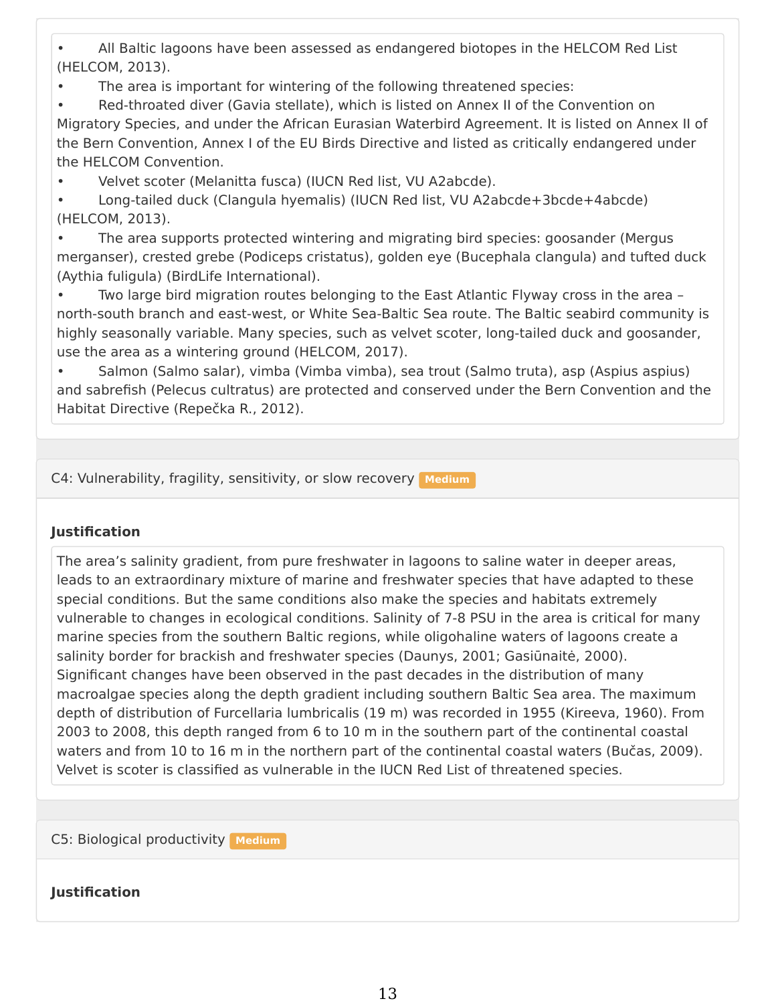• All Baltic lagoons have been assessed as endangered biotopes in the HELCOM Red List (HELCOM, 2013).

• The area is important for wintering of the following threatened species:

Red-throated diver (Gavia stellate), which is listed on Annex II of the Convention on Migratory Species, and under the African Eurasian Waterbird Agreement. It is listed on Annex II of the Bern Convention, Annex I of the EU Birds Directive and listed as critically endangered under the HELCOM Convention.

• Velvet scoter (Melanitta fusca) (IUCN Red list, VU A2abcde).

• Long-tailed duck (Clangula hyemalis) (IUCN Red list, VU A2abcde+3bcde+4abcde) (HELCOM, 2013).

• The area supports protected wintering and migrating bird species: goosander (Mergus merganser), crested grebe (Podiceps cristatus), golden eye (Bucephala clangula) and tufted duck (Aythia fuligula) (BirdLife International).

• Two large bird migration routes belonging to the East Atlantic Flyway cross in the area – north-south branch and east-west, or White Sea-Baltic Sea route. The Baltic seabird community is highly seasonally variable. Many species, such as velvet scoter, long-tailed duck and goosander, use the area as a wintering ground (HELCOM, 2017).

• Salmon (Salmo salar), vimba (Vimba vimba), sea trout (Salmo truta), asp (Aspius aspius) and sabrefish (Pelecus cultratus) are protected and conserved under the Bern Convention and the Habitat Directive (Repečka R., 2012).

C4: Vulnerability, fragility, sensitivity, or slow recovery **Medium** 

#### **Justification**

The area's salinity gradient, from pure freshwater in lagoons to saline water in deeper areas, leads to an extraordinary mixture of marine and freshwater species that have adapted to these special conditions. But the same conditions also make the species and habitats extremely vulnerable to changes in ecological conditions. Salinity of 7-8 PSU in the area is critical for many marine species from the southern Baltic regions, while oligohaline waters of lagoons create a salinity border for brackish and freshwater species (Daunys, 2001; Gasiūnaitė, 2000). Significant changes have been observed in the past decades in the distribution of many macroalgae species along the depth gradient including southern Baltic Sea area. The maximum depth of distribution of Furcellaria lumbricalis (19 m) was recorded in 1955 (Kireeva, 1960). From 2003 to 2008, this depth ranged from 6 to 10 m in the southern part of the continental coastal waters and from 10 to 16 m in the northern part of the continental coastal waters (Bučas, 2009). Velvet is scoter is classified as vulnerable in the IUCN Red List of threatened species.

C5: Biological productivity **Medium**

## **Justification**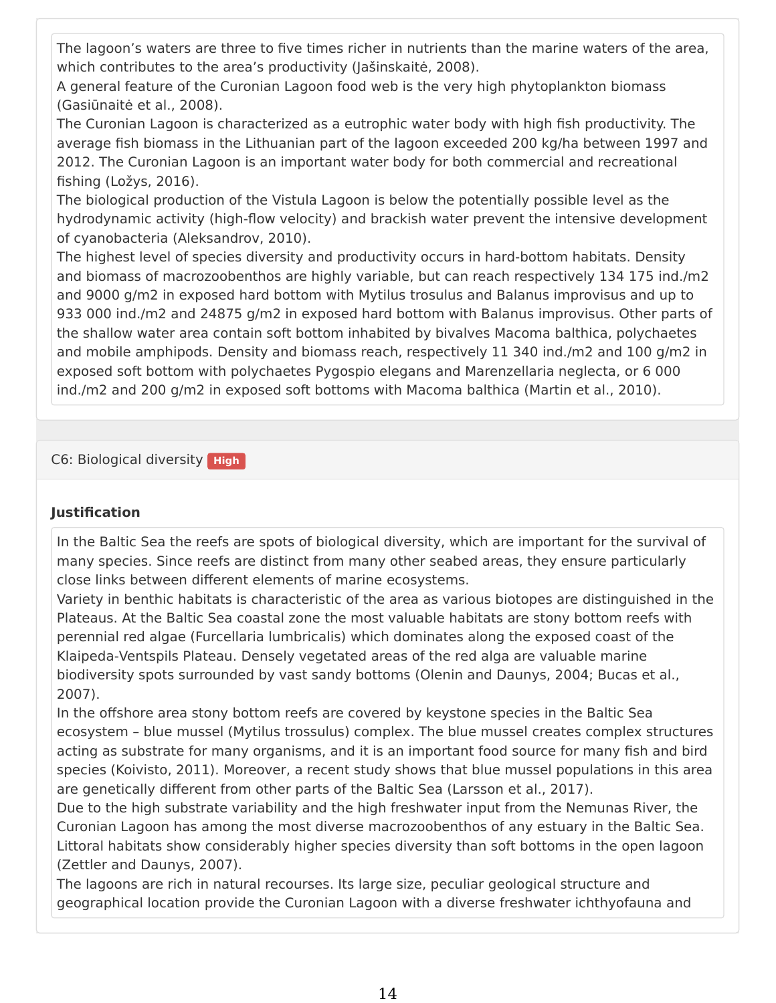The lagoon's waters are three to five times richer in nutrients than the marine waters of the area, which contributes to the area's productivity (Jašinskaitė, 2008).

A general feature of the Curonian Lagoon food web is the very high phytoplankton biomass (Gasiūnaitė et al., 2008).

The Curonian Lagoon is characterized as a eutrophic water body with high fish productivity. The average fish biomass in the Lithuanian part of the lagoon exceeded 200 kg/ha between 1997 and 2012. The Curonian Lagoon is an important water body for both commercial and recreational fishing (Ložys, 2016).

The biological production of the Vistula Lagoon is below the potentially possible level as the hydrodynamic activity (high-flow velocity) and brackish water prevent the intensive development of cyanobacteria (Aleksandrov, 2010).

The highest level of species diversity and productivity occurs in hard-bottom habitats. Density and biomass of macrozoobenthos are highly variable, but can reach respectively 134 175 ind./m2 and 9000 g/m2 in exposed hard bottom with Mytilus trosulus and Balanus improvisus and up to 933 000 ind./m2 and 24875 g/m2 in exposed hard bottom with Balanus improvisus. Other parts of the shallow water area contain soft bottom inhabited by bivalves Macoma balthica, polychaetes and mobile amphipods. Density and biomass reach, respectively 11 340 ind./m2 and 100 g/m2 in exposed soft bottom with polychaetes Pygospio elegans and Marenzellaria neglecta, or 6 000 ind./m2 and 200 g/m2 in exposed soft bottoms with Macoma balthica (Martin et al., 2010).

C6: Biological diversity **High**

#### **Justification**

In the Baltic Sea the reefs are spots of biological diversity, which are important for the survival of many species. Since reefs are distinct from many other seabed areas, they ensure particularly close links between different elements of marine ecosystems.

Variety in benthic habitats is characteristic of the area as various biotopes are distinguished in the Plateaus. At the Baltic Sea coastal zone the most valuable habitats are stony bottom reefs with perennial red algae (Furcellaria lumbricalis) which dominates along the exposed coast of the Klaipeda-Ventspils Plateau. Densely vegetated areas of the red alga are valuable marine biodiversity spots surrounded by vast sandy bottoms (Olenin and Daunys, 2004; Bucas et al., 2007).

In the offshore area stony bottom reefs are covered by keystone species in the Baltic Sea ecosystem – blue mussel (Mytilus trossulus) complex. The blue mussel creates complex structures acting as substrate for many organisms, and it is an important food source for many fish and bird species (Koivisto, 2011). Moreover, a recent study shows that blue mussel populations in this area are genetically different from other parts of the Baltic Sea (Larsson et al., 2017).

Due to the high substrate variability and the high freshwater input from the Nemunas River, the Curonian Lagoon has among the most diverse macrozoobenthos of any estuary in the Baltic Sea. Littoral habitats show considerably higher species diversity than soft bottoms in the open lagoon (Zettler and Daunys, 2007).

The lagoons are rich in natural recourses. Its large size, peculiar geological structure and geographical location provide the Curonian Lagoon with a diverse freshwater ichthyofauna and